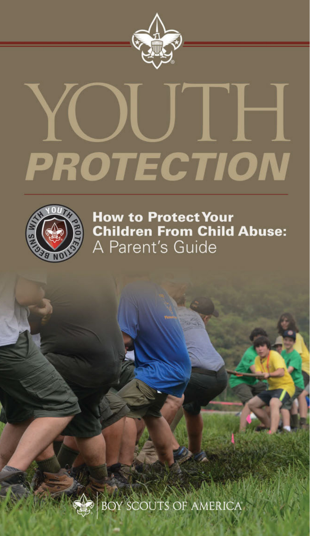

# PROTECTION



**How to Protect Your Children From Child Abuse:** A Parent's Guide

BOY SCOUTS OF AMERICA

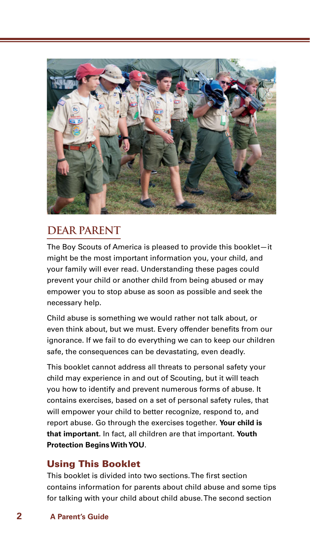

# **DEAR PARENT**

The Boy Scouts of America is pleased to provide this booklet—it might be the most important information you, your child, and your family will ever read. Understanding these pages could prevent your child or another child from being abused or may empower you to stop abuse as soon as possible and seek the necessary help.

Child abuse is something we would rather not talk about, or even think about, but we must. Every offender benefits from our ignorance. If we fail to do everything we can to keep our children safe, the consequences can be devastating, even deadly.

This booklet cannot address all threats to personal safety your child may experience in and out of Scouting, but it will teach you how to identify and prevent numerous forms of abuse. It contains exercises, based on a set of personal safety rules, that will empower your child to better recognize, respond to, and report abuse. Go through the exercises together. **Your child is that important.** In fact, all children are that important. **Youth Protection Begins With YOU**.

# Using This Booklet

This booklet is divided into two sections. The first section contains information for parents about child abuse and some tips for talking with your child about child abuse. The second section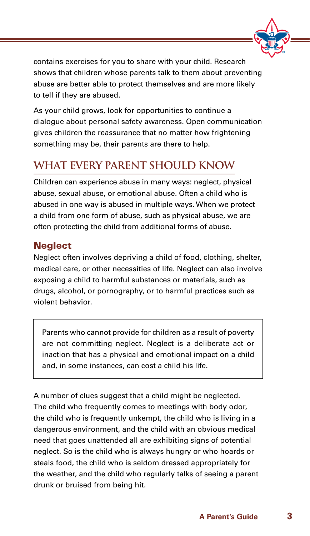

contains exercises for you to share with your child. Research shows that children whose parents talk to them about preventing abuse are better able to protect themselves and are more likely to tell if they are abused.

As your child grows, look for opportunities to continue a dialogue about personal safety awareness. Open communication gives children the reassurance that no matter how frightening something may be, their parents are there to help.

# **WHAT EVERY PARENT SHOULD KNOW**

Children can experience abuse in many ways: neglect, physical abuse, sexual abuse, or emotional abuse. Often a child who is abused in one way is abused in multiple ways. When we protect a child from one form of abuse, such as physical abuse, we are often protecting the child from additional forms of abuse.

# Neglect

Neglect often involves depriving a child of food, clothing, shelter, medical care, or other necessities of life. Neglect can also involve exposing a child to harmful substances or materials, such as drugs, alcohol, or pornography, or to harmful practices such as violent behavior.

Parents who cannot provide for children as a result of poverty are not committing neglect. Neglect is a deliberate act or inaction that has a physical and emotional impact on a child and, in some instances, can cost a child his life.

A number of clues suggest that a child might be neglected. The child who frequently comes to meetings with body odor, the child who is frequently unkempt, the child who is living in a dangerous environment, and the child with an obvious medical need that goes unattended all are exhibiting signs of potential neglect. So is the child who is always hungry or who hoards or steals food, the child who is seldom dressed appropriately for the weather, and the child who regularly talks of seeing a parent drunk or bruised from being hit.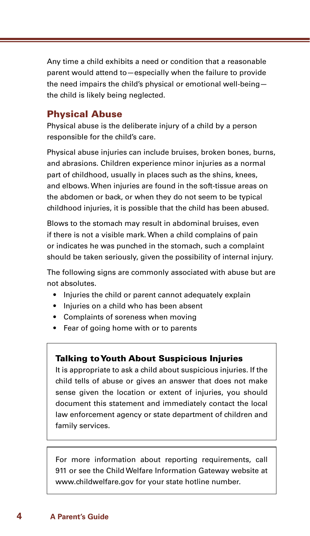Any time a child exhibits a need or condition that a reasonable parent would attend to—especially when the failure to provide the need impairs the child's physical or emotional well-being the child is likely being neglected.

### Physical Abuse

Physical abuse is the deliberate injury of a child by a person responsible for the child's care.

Physical abuse injuries can include bruises, broken bones, burns, and abrasions. Children experience minor injuries as a normal part of childhood, usually in places such as the shins, knees, and elbows. When injuries are found in the soft-tissue areas on the abdomen or back, or when they do not seem to be typical childhood injuries, it is possible that the child has been abused.

Blows to the stomach may result in abdominal bruises, even if there is not a visible mark. When a child complains of pain or indicates he was punched in the stomach, such a complaint should be taken seriously, given the possibility of internal injury.

The following signs are commonly associated with abuse but are not absolutes.

- Injuries the child or parent cannot adequately explain
- Injuries on a child who has been absent
- Complaints of soreness when moving
- Fear of going home with or to parents

#### Talking to Youth About Suspicious Injuries

It is appropriate to ask a child about suspicious injuries. If the child tells of abuse or gives an answer that does not make sense given the location or extent of injuries, you should document this statement and immediately contact the local law enforcement agency or state department of children and family services.

For more information about reporting requirements, call 911 or see the Child Welfare Information Gateway website at [www.childwelfare.gov](http://www.childwelfare.gov) for your state hotline number.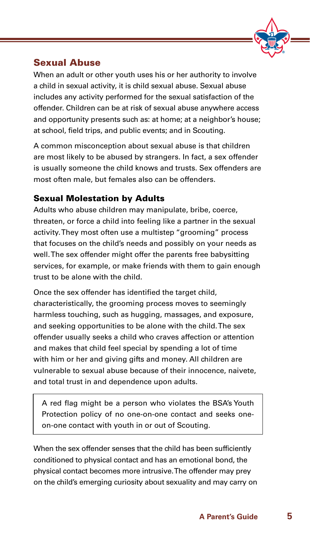

# Sexual Abuse

When an adult or other youth uses his or her authority to involve a child in sexual activity, it is child sexual abuse. Sexual abuse includes any activity performed for the sexual satisfaction of the offender. Children can be at risk of sexual abuse anywhere access and opportunity presents such as: at home; at a neighbor's house; at school, field trips, and public events; and in Scouting.

A common misconception about sexual abuse is that children are most likely to be abused by strangers. In fact, a sex offender is usually someone the child knows and trusts. Sex offenders are most often male, but females also can be offenders.

## Sexual Molestation by Adults

Adults who abuse children may manipulate, bribe, coerce, threaten, or force a child into feeling like a partner in the sexual activity. They most often use a multistep "grooming" process that focuses on the child's needs and possibly on your needs as well. The sex offender might offer the parents free babysitting services, for example, or make friends with them to gain enough trust to be alone with the child.

Once the sex offender has identified the target child, characteristically, the grooming process moves to seemingly harmless touching, such as hugging, massages, and exposure, and seeking opportunities to be alone with the child. The sex offender usually seeks a child who craves affection or attention and makes that child feel special by spending a lot of time with him or her and giving gifts and money. All children are vulnerable to sexual abuse because of their innocence, naivete, and total trust in and dependence upon adults.

A red flag might be a person who violates the BSA's Youth Protection policy of no one-on-one contact and seeks oneon-one contact with youth in or out of Scouting.

When the sex offender senses that the child has been sufficiently conditioned to physical contact and has an emotional bond, the physical contact becomes more intrusive. The offender may prey on the child's emerging curiosity about sexuality and may carry on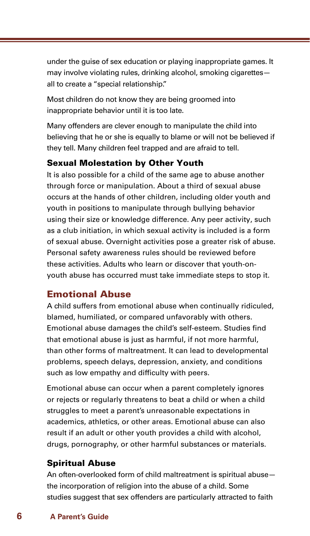under the guise of sex education or playing inappropriate games. It may involve violating rules, drinking alcohol, smoking cigarettes all to create a "special relationship."

Most children do not know they are being groomed into inappropriate behavior until it is too late.

Many offenders are clever enough to manipulate the child into believing that he or she is equally to blame or will not be believed if they tell. Many children feel trapped and are afraid to tell.

### Sexual Molestation by Other Youth

It is also possible for a child of the same age to abuse another through force or manipulation. About a third of sexual abuse occurs at the hands of other children, including older youth and youth in positions to manipulate through bullying behavior using their size or knowledge difference. Any peer activity, such as a club initiation, in which sexual activity is included is a form of sexual abuse. Overnight activities pose a greater risk of abuse. Personal safety awareness rules should be reviewed before these activities. Adults who learn or discover that youth-onyouth abuse has occurred must take immediate steps to stop it.

## Emotional Abuse

A child suffers from emotional abuse when continually ridiculed, blamed, humiliated, or compared unfavorably with others. Emotional abuse damages the child's self-esteem. Studies find that emotional abuse is just as harmful, if not more harmful, than other forms of maltreatment. It can lead to developmental problems, speech delays, depression, anxiety, and conditions such as low empathy and difficulty with peers.

Emotional abuse can occur when a parent completely ignores or rejects or regularly threatens to beat a child or when a child struggles to meet a parent's unreasonable expectations in academics, athletics, or other areas. Emotional abuse can also result if an adult or other youth provides a child with alcohol, drugs, pornography, or other harmful substances or materials.

#### Spiritual Abuse

An often-overlooked form of child maltreatment is spiritual abuse the incorporation of religion into the abuse of a child. Some studies suggest that sex offenders are particularly attracted to faith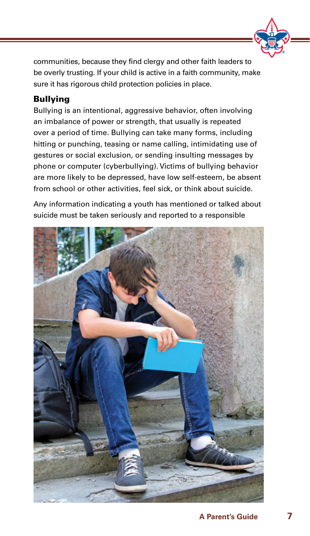communities, because they find clergy and other faith leaders to be overly trusting. If your child is active in a faith community, make sure it has rigorous child protection policies in place.

#### Bullying

Bullying is an intentional, aggressive behavior, often involving an imbalance of power or strength, that usually is repeated over a period of time. Bullying can take many forms, including hitting or punching, teasing or name calling, intimidating use of gestures or social exclusion, or sending insulting messages by phone or computer (cyberbullying). Victims of bullying behavior are more likely to be depressed, have low self-esteem, be absent from school or other activities, feel sick, or think about suicide.

Any information indicating a youth has mentioned or talked about suicide must be taken seriously and reported to a responsible

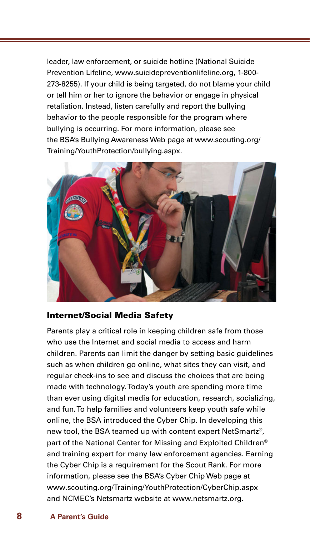leader, law enforcement, or suicide hotline (National Suicide Prevention Lifeline, [www.suicidepreventionlifeline.org](http://www.suicidepreventionlifeline.org), 1-800- 273-8255). If your child is being targeted, do not blame your child or tell him or her to ignore the behavior or engage in physical retaliation. Instead, listen carefully and report the bullying behavior to the people responsible for the program where bullying is occurring. For more information, please see the BSA's Bullying Awareness Web page at [www.scouting.org/](http://www.scouting.org/Training/YouthProtection/bullying.aspx) [Training/YouthProtection/bullying.aspx.](http://www.scouting.org/Training/YouthProtection/bullying.aspx)



#### Internet/Social Media Safety

Parents play a critical role in keeping children safe from those who use the Internet and social media to access and harm children. Parents can limit the danger by setting basic guidelines such as when children go online, what sites they can visit, and regular check-ins to see and discuss the choices that are being made with technology. Today's youth are spending more time than ever using digital media for education, research, socializing, and fun. To help families and volunteers keep youth safe while online, the BSA introduced the Cyber Chip. In developing this new tool, the BSA teamed up with content expert NetSmartz®, part of the National Center for Missing and Exploited Children® and training expert for many law enforcement agencies. Earning the Cyber Chip is a requirement for the Scout Rank. For more information, please see the BSA's Cyber Chip Web page at [www.scouting.org/Training/YouthProtection/CyberChip.aspx](http://www.scouting.org/Training/YouthProtection/CyberChip.aspx) and NCMEC's Netsmartz website at [www.netsmartz.org.](http://www.netsmartz.org)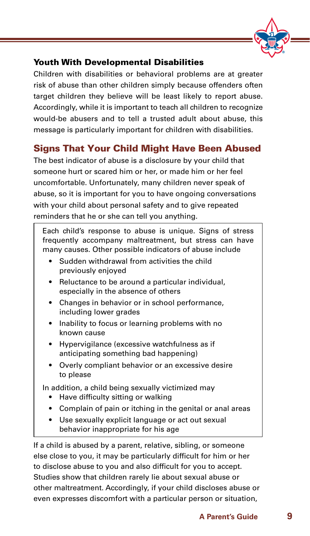

## Youth With Developmental Disabilities

Children with disabilities or behavioral problems are at greater risk of abuse than other children simply because offenders often target children they believe will be least likely to report abuse. Accordingly, while it is important to teach all children to recognize would-be abusers and to tell a trusted adult about abuse, this message is particularly important for children with disabilities.

# Signs That Your Child Might Have Been Abused

The best indicator of abuse is a disclosure by your child that someone hurt or scared him or her, or made him or her feel uncomfortable. Unfortunately, many children never speak of abuse, so it is important for you to have ongoing conversations with your child about personal safety and to give repeated reminders that he or she can tell you anything.

Each child's response to abuse is unique. Signs of stress frequently accompany maltreatment, but stress can have many causes. Other possible indicators of abuse include

- Sudden withdrawal from activities the child previously enjoyed
- Reluctance to be around a particular individual, especially in the absence of others
- Changes in behavior or in school performance, including lower grades
- Inability to focus or learning problems with no known cause
- Hypervigilance (excessive watchfulness as if anticipating something bad happening)
- Overly compliant behavior or an excessive desire to please

In addition, a child being sexually victimized may

- Have difficulty sitting or walking
- Complain of pain or itching in the genital or anal areas
- Use sexually explicit language or act out sexual behavior inappropriate for his age

If a child is abused by a parent, relative, sibling, or someone else close to you, it may be particularly difficult for him or her to disclose abuse to you and also difficult for you to accept. Studies show that children rarely lie about sexual abuse or other maltreatment. Accordingly, if your child discloses abuse or even expresses discomfort with a particular person or situation,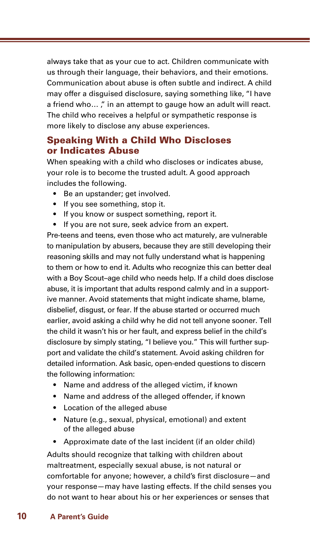always take that as your cue to act. Children communicate with us through their language, their behaviors, and their emotions. Communication about abuse is often subtle and indirect. A child may offer a disguised disclosure, saying something like, "I have a friend who...," in an attempt to gauge how an adult will react. The child who receives a helpful or sympathetic response is more likely to disclose any abuse experiences.

## Speaking With a Child Who Discloses or Indicates Abuse

When speaking with a child who discloses or indicates abuse, your role is to become the trusted adult. A good approach includes the following.

- Be an upstander; get involved.
- If you see something, stop it.
- If you know or suspect something, report it.
- If you are not sure, seek advice from an expert.

Pre-teens and teens, even those who act maturely, are vulnerable to manipulation by abusers, because they are still developing their reasoning skills and may not fully understand what is happening to them or how to end it. Adults who recognize this can better deal with a Boy Scout–age child who needs help. If a child does disclose abuse, it is important that adults respond calmly and in a supportive manner. Avoid statements that might indicate shame, blame, disbelief, disgust, or fear. If the abuse started or occurred much earlier, avoid asking a child why he did not tell anyone sooner. Tell the child it wasn't his or her fault, and express belief in the child's disclosure by simply stating, "I believe you." This will further support and validate the child's statement. Avoid asking children for detailed information. Ask basic, open-ended questions to discern the following information:

- Name and address of the alleged victim, if known
- Name and address of the alleged offender, if known
- Location of the alleged abuse
- Nature (e.g., sexual, physical, emotional) and extent of the alleged abuse
- Approximate date of the last incident (if an older child)

Adults should recognize that talking with children about maltreatment, especially sexual abuse, is not natural or comfortable for anyone; however, a child's first disclosure—and your response—may have lasting effects. If the child senses you do not want to hear about his or her experiences or senses that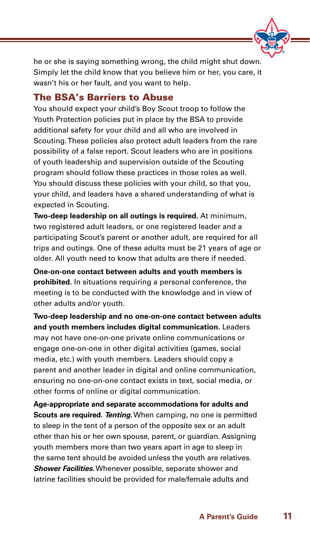

he or she is saying something wrong, the child might shut down. Simply let the child know that you believe him or her, you care, it wasn't his or her fault, and you want to help.

# The BSA's Barriers to Abuse

You should expect your child's Boy Scout troop to follow the Youth Protection policies put in place by the BSA to provide additional safety for your child and all who are involved in Scouting. These policies also protect adult leaders from the rare possibility of a false report. Scout leaders who are in positions of youth leadership and supervision outside of the Scouting program should follow these practices in those roles as well. You should discuss these policies with your child, so that you, your child, and leaders have a shared understanding of what is expected in Scouting.

**Two-deep leadership on all outings is required.** At minimum, two registered adult leaders, or one registered leader and a participating Scout's parent or another adult, are required for all trips and outings. One of these adults must be 21 years of age or older. All youth need to know that adults are there if needed.

**One-on-one contact between adults and youth members is prohibited.** In situations requiring a personal conference, the meeting is to be conducted with the knowledge and in view of other adults and/or youth.

**Two-deep leadership and no one-on-one contact between adults and youth members includes digital communication.** Leaders may not have one-on-one private online communications or engage one-on-one in other digital activities (games, social media, etc.) with youth members. Leaders should copy a parent and another leader in digital and online communication, ensuring no one-on-one contact exists in text, social media, or other forms of online or digital communication.

**Age-appropriate and separate accommodations for adults and Scouts are required.** *Tenting.* When camping, no one is permitted to sleep in the tent of a person of the opposite sex or an adult other than his or her own spouse, parent, or guardian. Assigning youth members more than two years apart in age to sleep in the same tent should be avoided unless the youth are relatives. *Shower Facilities.* Whenever possible, separate shower and latrine facilities should be provided for male/female adults and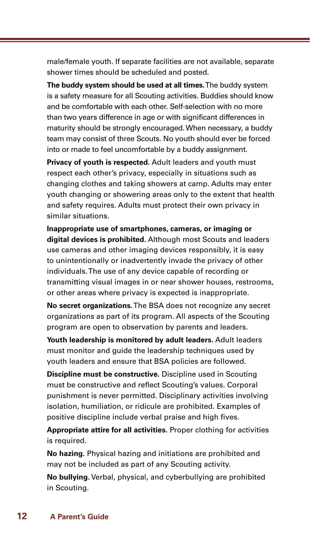male/female youth. If separate facilities are not available, separate shower times should be scheduled and posted.

**The buddy system should be used at all times.** The buddy system is a safety measure for all Scouting activities. Buddies should know and be comfortable with each other. Self-selection with no more than two years difference in age or with significant differences in maturity should be strongly encouraged. When necessary, a buddy team may consist of three Scouts. No youth should ever be forced into or made to feel uncomfortable by a buddy assignment.

**Privacy of youth is respected.** Adult leaders and youth must respect each other's privacy, especially in situations such as changing clothes and taking showers at camp. Adults may enter youth changing or showering areas only to the extent that health and safety requires. Adults must protect their own privacy in similar situations.

**Inappropriate use of smartphones, cameras, or imaging or digital devices is prohibited.** Although most Scouts and leaders use cameras and other imaging devices responsibly, it is easy to unintentionally or inadvertently invade the privacy of other individuals. The use of any device capable of recording or transmitting visual images in or near shower houses, restrooms, or other areas where privacy is expected is inappropriate.

**No secret organizations.** The BSA does not recognize any secret organizations as part of its program. All aspects of the Scouting program are open to observation by parents and leaders.

**Youth leadership is monitored by adult leaders.** Adult leaders must monitor and guide the leadership techniques used by youth leaders and ensure that BSA policies are followed.

**Discipline must be constructive.** Discipline used in Scouting must be constructive and reflect Scouting's values. Corporal punishment is never permitted. Disciplinary activities involving isolation, humiliation, or ridicule are prohibited. Examples of positive discipline include verbal praise and high fives.

**Appropriate attire for all activities.** Proper clothing for activities is required.

**No hazing.** Physical hazing and initiations are prohibited and may not be included as part of any Scouting activity.

**No bullying.** Verbal, physical, and cyberbullying are prohibited in Scouting.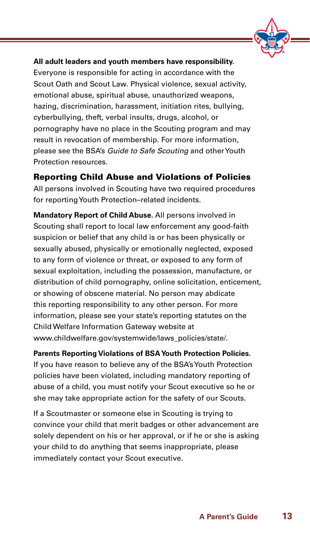

**All adult leaders and youth members have responsibility.** Everyone is responsible for acting in accordance with the Scout Oath and Scout Law. Physical violence, sexual activity, emotional abuse, spiritual abuse, unauthorized weapons, hazing, discrimination, harassment, initiation rites, bullying, cyberbullying, theft, verbal insults, drugs, alcohol, or pornography have no place in the Scouting program and may result in revocation of membership. For more information, please see the BSA's *Guide to Safe Scouting* and other Youth Protection resources.

Reporting Child Abuse and Violations of Policies All persons involved in Scouting have two required procedures for reporting Youth Protection–related incidents.

**Mandatory Report of Child Abuse.** All persons involved in Scouting shall report to local law enforcement any good-faith suspicion or belief that any child is or has been physically or sexually abused, physically or emotionally neglected, exposed to any form of violence or threat, or exposed to any form of sexual exploitation, including the possession, manufacture, or distribution of child pornography, online solicitation, enticement, or showing of obscene material. No person may abdicate this reporting responsibility to any other person. For more information, please see your state's reporting statutes on the Child Welfare Information Gateway website at [www.childwelfare.gov/systemwide/laws\\_policies/state/.](http://www.childwelfare.gov/systemwide/laws_policies/state/)

**Parents Reporting Violations of BSA Youth Protection Policies.** If you have reason to believe any of the BSA's Youth Protection policies have been violated, including mandatory reporting of abuse of a child, you must notify your Scout executive so he or she may take appropriate action for the safety of our Scouts.

If a Scoutmaster or someone else in Scouting is trying to convince your child that merit badges or other advancement are solely dependent on his or her approval, or if he or she is asking your child to do anything that seems inappropriate, please immediately contact your Scout executive.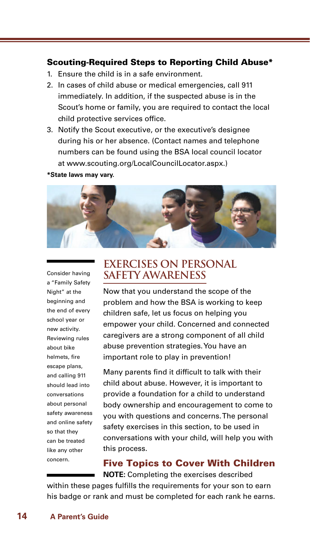#### Scouting-Required Steps to Reporting Child Abuse\*

- 1. Ensure the child is in a safe environment.
- 2. In cases of child abuse or medical emergencies, call 911 immediately. In addition, if the suspected abuse is in the Scout's home or family, you are required to contact the local child protective services office.
- 3. Notify the Scout executive, or the executive's designee during his or her absence. (Contact names and telephone numbers can be found using the BSA local council locator at [www.scouting.org/LocalCouncilLocator.aspx.](http://www.scouting.org/LocalCouncilLocator.aspx))
- **\*State laws may vary.**



Consider having a "Family Safety Night" at the beginning and the end of every school year or new activity. Reviewing rules about bike helmets, fire escape plans, and calling 911 should lead into conversations about personal safety awareness and online safety so that they can be treated like any other concern.

# **EXERCISES ON PERSONAL SAFETY AWARENESS**

Now that you understand the scope of the problem and how the BSA is working to keep children safe, let us focus on helping you empower your child. Concerned and connected caregivers are a strong component of all child abuse prevention strategies. You have an important role to play in prevention!

Many parents find it difficult to talk with their child about abuse. However, it is important to provide a foundation for a child to understand body ownership and encouragement to come to you with questions and concerns. The personal safety exercises in this section, to be used in conversations with your child, will help you with this process.

## Five Topics to Cover With Children

**NOTE:** Completing the exercises described within these pages fulfills the requirements for your son to earn his badge or rank and must be completed for each rank he earns.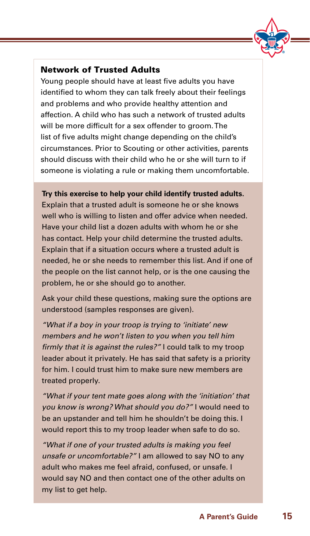

#### Network of Trusted Adults

Young people should have at least five adults you have identified to whom they can talk freely about their feelings and problems and who provide healthy attention and affection. A child who has such a network of trusted adults will be more difficult for a sex offender to groom. The list of five adults might change depending on the child's circumstances. Prior to Scouting or other activities, parents should discuss with their child who he or she will turn to if someone is violating a rule or making them uncomfortable.

**Try this exercise to help your child identify trusted adults.** Explain that a trusted adult is someone he or she knows well who is willing to listen and offer advice when needed. Have your child list a dozen adults with whom he or she has contact. Help your child determine the trusted adults. Explain that if a situation occurs where a trusted adult is needed, he or she needs to remember this list. And if one of the people on the list cannot help, or is the one causing the problem, he or she should go to another.

Ask your child these questions, making sure the options are understood (samples responses are given).

*"What if a boy in your troop is trying to 'initiate' new members and he won't listen to you when you tell him firmly that it is against the rules?"* I could talk to my troop leader about it privately. He has said that safety is a priority for him. I could trust him to make sure new members are treated properly.

*"What if your tent mate goes along with the 'initiation' that you know is wrong? What should you do?"* I would need to be an upstander and tell him he shouldn't be doing this. I would report this to my troop leader when safe to do so.

*"What if one of your trusted adults is making you feel unsafe or uncomfortable?"* I am allowed to say NO to any adult who makes me feel afraid, confused, or unsafe. I would say NO and then contact one of the other adults on my list to get help.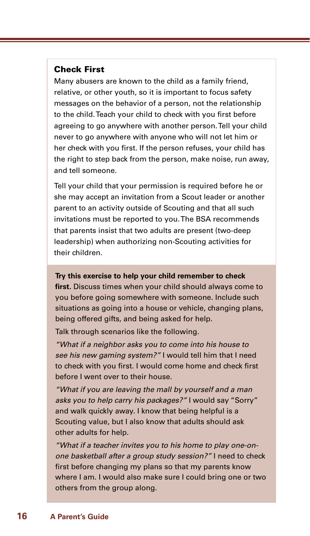#### Check First

Many abusers are known to the child as a family friend, relative, or other youth, so it is important to focus safety messages on the behavior of a person, not the relationship to the child. Teach your child to check with you first before agreeing to go anywhere with another person. Tell your child never to go anywhere with anyone who will not let him or her check with you first. If the person refuses, your child has the right to step back from the person, make noise, run away, and tell someone.

Tell your child that your permission is required before he or she may accept an invitation from a Scout leader or another parent to an activity outside of Scouting and that all such invitations must be reported to you. The BSA recommends that parents insist that two adults are present (two-deep leadership) when authorizing non-Scouting activities for their children.

#### **Try this exercise to help your child remember to check**

**first.** Discuss times when your child should always come to you before going somewhere with someone. Include such situations as going into a house or vehicle, changing plans, being offered gifts, and being asked for help.

Talk through scenarios like the following.

*"What if a neighbor asks you to come into his house to see his new gaming system?"* I would tell him that I need to check with you first. I would come home and check first before I went over to their house.

*"What if you are leaving the mall by yourself and a man asks you to help carry his packages?"* I would say "Sorry" and walk quickly away. I know that being helpful is a Scouting value, but I also know that adults should ask other adults for help.

*"What if a teacher invites you to his home to play one-onone basketball after a group study session?"* I need to check first before changing my plans so that my parents know where I am. I would also make sure I could bring one or two others from the group along.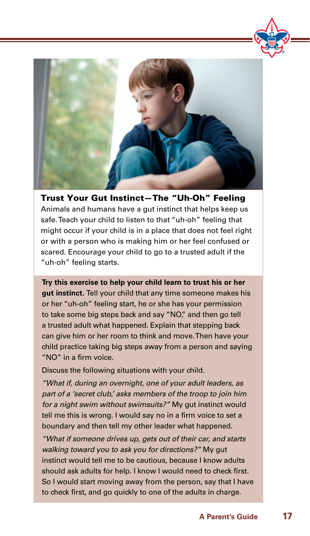

Trust Your Gut Instinct—The "Uh-Oh" Feeling Animals and humans have a gut instinct that helps keep us safe. Teach your child to listen to that "uh-oh" feeling that might occur if your child is in a place that does not feel right or with a person who is making him or her feel confused or scared. Encourage your child to go to a trusted adult if the "uh-oh" feeling starts.

**Try this exercise to help your child learn to trust his or her gut instinct.** Tell your child that any time someone makes his or her "uh-oh" feeling start, he or she has your permission to take some big steps back and say "NO," and then go tell a trusted adult what happened. Explain that stepping back can give him or her room to think and move. Then have your child practice taking big steps away from a person and saying "NO" in a firm voice.

Discuss the following situations with your child.

*"What if, during an overnight, one of your adult leaders, as part of a 'secret club,' asks members of the troop to join him for a night swim without swimsuits?"* My gut instinct would tell me this is wrong. I would say no in a firm voice to set a boundary and then tell my other leader what happened.

*"What if someone drives up, gets out of their car, and starts walking toward you to ask you for directions?"* My gut instinct would tell me to be cautious, because I know adults should ask adults for help. I know I would need to check first. So I would start moving away from the person, say that I have to check first, and go quickly to one of the adults in charge.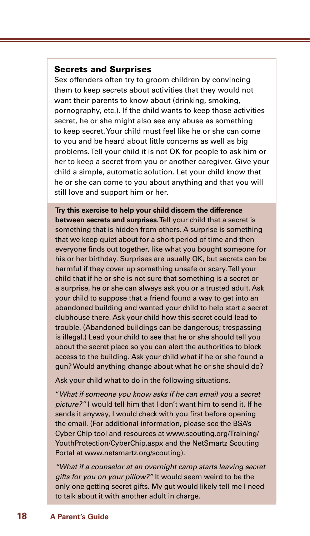#### Secrets and Surprises

Sex offenders often try to groom children by convincing them to keep secrets about activities that they would not want their parents to know about (drinking, smoking, pornography, etc.). If the child wants to keep those activities secret, he or she might also see any abuse as something to keep secret. Your child must feel like he or she can come to you and be heard about little concerns as well as big problems. Tell your child it is not OK for people to ask him or her to keep a secret from you or another caregiver. Give your child a simple, automatic solution. Let your child know that he or she can come to you about anything and that you will still love and support him or her.

**Try this exercise to help your child discern the difference between secrets and surprises.** Tell your child that a secret is something that is hidden from others. A surprise is something that we keep quiet about for a short period of time and then everyone finds out together, like what you bought someone for his or her birthday. Surprises are usually OK, but secrets can be harmful if they cover up something unsafe or scary. Tell your child that if he or she is not sure that something is a secret or a surprise, he or she can always ask you or a trusted adult. Ask your child to suppose that a friend found a way to get into an abandoned building and wanted your child to help start a secret clubhouse there. Ask your child how this secret could lead to trouble. (Abandoned buildings can be dangerous; trespassing is illegal.) Lead your child to see that he or she should tell you about the secret place so you can alert the authorities to block access to the building. Ask your child what if he or she found a gun? Would anything change about what he or she should do?

Ask your child what to do in the following situations.

"*What if someone you know asks if he can email you a secret picture?"* I would tell him that I don't want him to send it. If he sends it anyway, I would check with you first before opening the email. (For additional information, please see the BSA's Cyber Chip tool and resources at www.scouting.org/Training/ YouthProtection/CyberChip.aspx and the NetSmartz Scouting Portal at [www.netsmartz.org/scouting](http://www.netsmartz.org/scouting)).

*"What if a counselor at an overnight camp starts leaving secret gifts for you on your pillow?"* It would seem weird to be the only one getting secret gifts. My gut would likely tell me I need to talk about it with another adult in charge.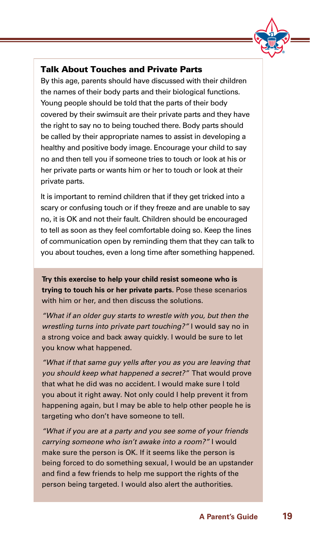

### Talk About Touches and Private Parts

By this age, parents should have discussed with their children the names of their body parts and their biological functions. Young people should be told that the parts of their body covered by their swimsuit are their private parts and they have the right to say no to being touched there. Body parts should be called by their appropriate names to assist in developing a healthy and positive body image. Encourage your child to say no and then tell you if someone tries to touch or look at his or her private parts or wants him or her to touch or look at their private parts.

It is important to remind children that if they get tricked into a scary or confusing touch or if they freeze and are unable to say no, it is OK and not their fault. Children should be encouraged to tell as soon as they feel comfortable doing so. Keep the lines of communication open by reminding them that they can talk to you about touches, even a long time after something happened.

**Try this exercise to help your child resist someone who is trying to touch his or her private parts.** Pose these scenarios with him or her, and then discuss the solutions.

*"What if an older guy starts to wrestle with you, but then the wrestling turns into private part touching?"* I would say no in a strong voice and back away quickly. I would be sure to let you know what happened.

*"What if that same guy yells after you as you are leaving that you should keep what happened a secret?"* That would prove that what he did was no accident. I would make sure I told you about it right away. Not only could I help prevent it from happening again, but I may be able to help other people he is targeting who don't have someone to tell.

*"What if you are at a party and you see some of your friends carrying someone who isn't awake into a room?"* I would make sure the person is OK. If it seems like the person is being forced to do something sexual, I would be an upstander and find a few friends to help me support the rights of the person being targeted. I would also alert the authorities.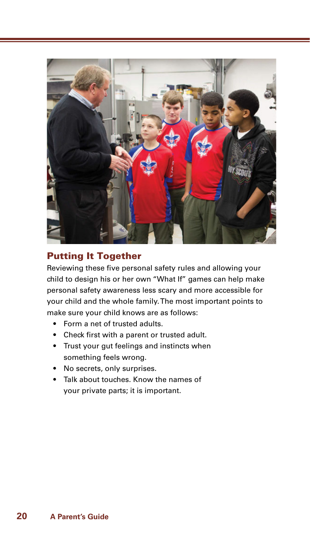

# Putting It Together

Reviewing these five personal safety rules and allowing your child to design his or her own "What If" games can help make personal safety awareness less scary and more accessible for your child and the whole family. The most important points to make sure your child knows are as follows:

- Form a net of trusted adults.
- Check first with a parent or trusted adult.
- Trust your gut feelings and instincts when something feels wrong.
- No secrets, only surprises.
- Talk about touches. Know the names of your private parts; it is important.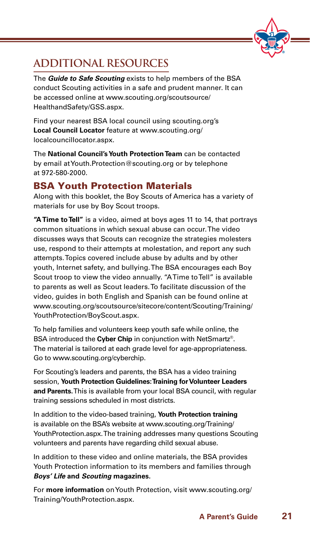# **ADDITIONAL RESOURCES**

The *Guide to Safe Scouting* exists to help members of the BSA conduct Scouting activities in a safe and prudent manner. It can be accessed online at [www.scouting.org/scoutsource/](http://www.scouting.org/scoutsource/HealthandSafety/GSS.aspx) [HealthandSafety/GSS.aspx](http://www.scouting.org/scoutsource/HealthandSafety/GSS.aspx).

Find your nearest BSA local council using scouting.org's **Local Council Locator** feature at [www.scouting.org/](http://www.scouting.org/localcouncillocator.aspx) [localcouncillocator.aspx](http://www.scouting.org/localcouncillocator.aspx).

The **National Council's Youth Protection Team** can be contacted by email at [Youth.Protection@scouting.org](mailto:Youth.Protection%40scouting.org?subject=A%20Parent%27s%20Guide%20resources) or by telephone at 972-580-2000.

# BSA Youth Protection Materials

Along with this booklet, the Boy Scouts of America has a variety of materials for use by Boy Scout troops.

**"A Time to Tell"** is a video, aimed at boys ages 11 to 14, that portrays common situations in which sexual abuse can occur. The video discusses ways that Scouts can recognize the strategies molesters use, respond to their attempts at molestation, and report any such attempts. Topics covered include abuse by adults and by other youth, Internet safety, and bullying. The BSA encourages each Boy Scout troop to view the video annually. "A Time to Tell" is available to parents as well as Scout leaders. To facilitate discussion of the video, guides in both English and Spanish can be found online at [www.scouting.org/scoutsource/sitecore/content/Scouting/Training/](http://www.scouting.org/scoutsource/sitecore/content/Scouting/Training/YouthProtection/BoyScout.aspx) [YouthProtection/BoyScout.aspx](http://www.scouting.org/scoutsource/sitecore/content/Scouting/Training/YouthProtection/BoyScout.aspx).

To help families and volunteers keep youth safe while online, the BSA introduced the **Cyber Chip** in conjunction with NetSmartz®. The material is tailored at each grade level for age-appropriateness. Go to [www.scouting.org/cyberchip.](http://www.scouting.org/cyberchip)

For Scouting's leaders and parents, the BSA has a video training session, **Youth Protection Guidelines: Training for Volunteer Leaders and Parents.** This is available from your local BSA council, with regular training sessions scheduled in most districts.

In addition to the video-based training, **Youth Protection training** is available on the BSA's website at [www.scouting.org/Training/](http://www.scouting.org/Training/YouthProtection.aspx) [YouthProtection.aspx.](http://www.scouting.org/Training/YouthProtection.aspx) The training addresses many questions Scouting volunteers and parents have regarding child sexual abuse.

In addition to these video and online materials, the BSA provides Youth Protection information to its members and families through *Boys' Life* **and** *Scouting* **magazines.**

For **more information** on Youth Protection, visit [www.scouting.org/](http://www.scouting.org/Training/YouthProtection.aspx) [Training/YouthProtection.aspx](http://www.scouting.org/Training/YouthProtection.aspx).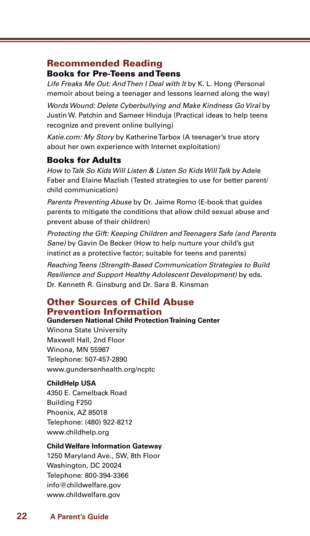## Recommended Reading Books for Pre-Teens and Teens

*Life Freaks Me Out: And Then I Deal with It* by K. L. Hong (Personal memoir about being a teenager and lessons learned along the way)

*Words Wound: Delete Cyberbullying and Make Kindness Go Viral* by Justin W. Patchin and Sameer Hinduja (Practical ideas to help teens recognize and prevent online bullying)

*Katie.com: My Story* by Katherine Tarbox (A teenager's true story about her own experience with Internet exploitation)

### Books for Adults

*How to Talk So Kids Will Listen & Listen So Kids Will Talk* by Adele Faber and Elaine Mazlish (Tested strategies to use for better parent/ child communication)

*Parents Preventing Abuse* by Dr. Jaime Romo (E-book that guides parents to mitigate the conditions that allow child sexual abuse and prevent abuse of their children)

*Protecting the Gift: Keeping Children and Teenagers Safe (and Parents Sane)* by Gavin De Becker (How to help nurture your child's gut instinct as a protective factor; suitable for teens and parents)

*Reaching Teens (Strength-Based Communication Strategies to Build Resilience and Support Healthy Adolescent Development)* by eds. Dr. Kenneth R. Ginsburg and Dr. Sara B. Kinsman

## Other Sources of Child Abuse Prevention Information

**Gundersen National Child Protection Training Center**

Winona State University Maxwell Hall, 2nd Floor Winona, MN 55987 Telephone: 507-457-2890 [www.gundersenhealth.org/ncptc](http://www.gundersenhealth.org/ncptc)

#### **ChildHelp USA**

4350 E. Camelback Road Building F250 Phoenix, AZ 85018 Telephone: (480) 922-8212 [www.childhelp.org](http://www.childhelp.org)

#### **Child Welfare Information Gateway**

1250 Maryland Ave., SW, 8th Floor Washington, DC 20024 Telephone: 800-394-3366 [info@childwelfare.gov](mailto:info%40childwelfare.gov?subject=Need%20information%20about%20child%20abuse%20information) [www.childwelfare.gov](http://www.childwelfare.gov)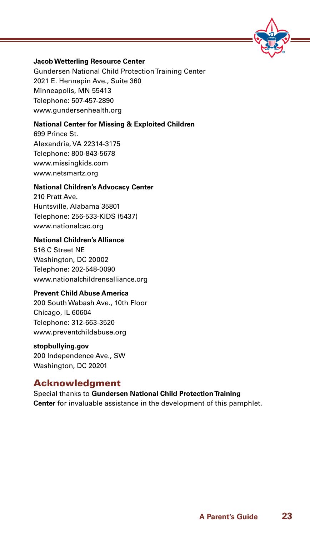#### **Jacob Wetterling Resource Center**

Gundersen National Child Protection Training Center 2021 E. Hennepin Ave., Suite 360 Minneapolis, MN 55413 Telephone: 507-457-2890 [www.gundersenhealth.org](http://www.gundersenhealth.org)

#### **National Center for Missing & Exploited Children**

699 Prince St. Alexandria, VA 22314-3175 Telephone: 800-843-5678 [www.missingkids.com](http://www.missingkids.com) [www.netsmartz.org](http://www.netsmartz.org)

#### **National Children's Advocacy Center**

210 Pratt Ave. Huntsville, Alabama 35801 Telephone: 256-533-KIDS (5437) [www.nationalcac.org](http://www.nationalcac.org)

#### **National Children's Alliance**

516 C Street NE Washington, DC 20002 Telephone: 202-548-0090 [www.nationalchildrensalliance.org](http://www.nationalchildrensalliance.org)

#### **Prevent Child Abuse America**

200 South Wabash Ave., 10th Floor Chicago, IL 60604 Telephone: 312-663-3520 [www.preventchildabuse.org](http://www.preventchildabuse.org)

#### **stopbullying.gov**

200 Independence Ave., SW Washington, DC 20201

#### Acknowledgment

Special thanks to **Gundersen National Child Protection Training Center** for invaluable assistance in the development of this pamphlet.